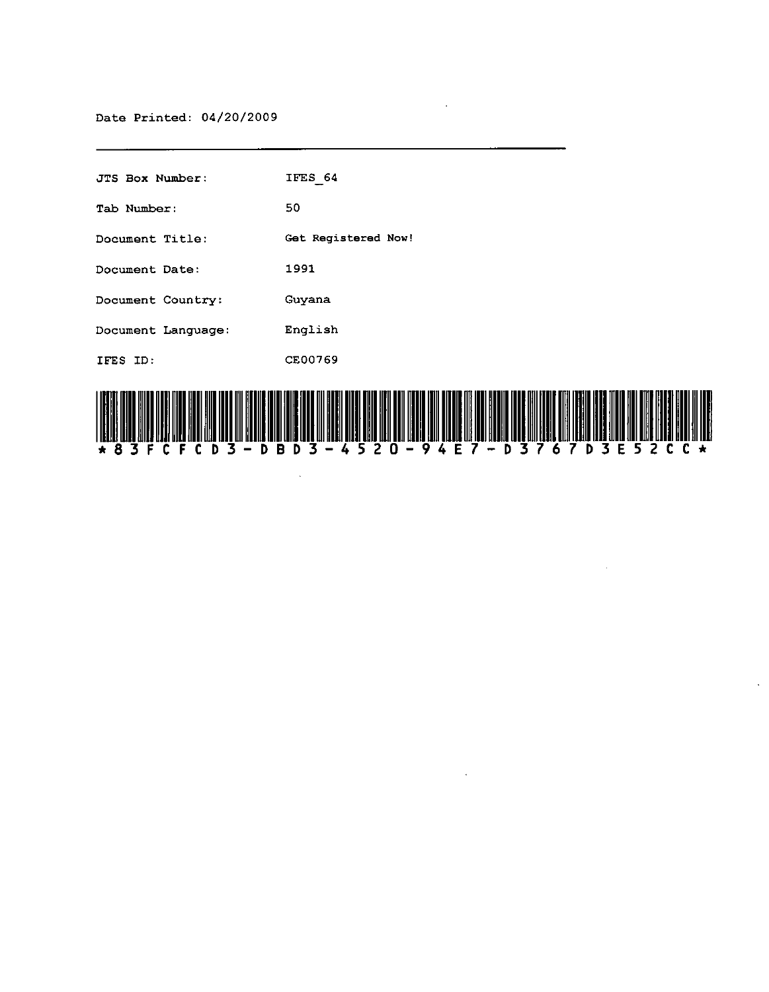| JTS Box Number:    | IFES 64             |
|--------------------|---------------------|
| Tab Number:        | 50                  |
| Document Title:    | Get Reqistered Now! |
| Document Date:     | 1991                |
| Document Country:  | Guyana              |
| Document Language: | English             |
| IFES ID:           | CE00769             |
|                    |                     |



 $\bar{z}$ 

 $\sim$ 

 $\ddot{\phantom{a}}$ 

 $\sim$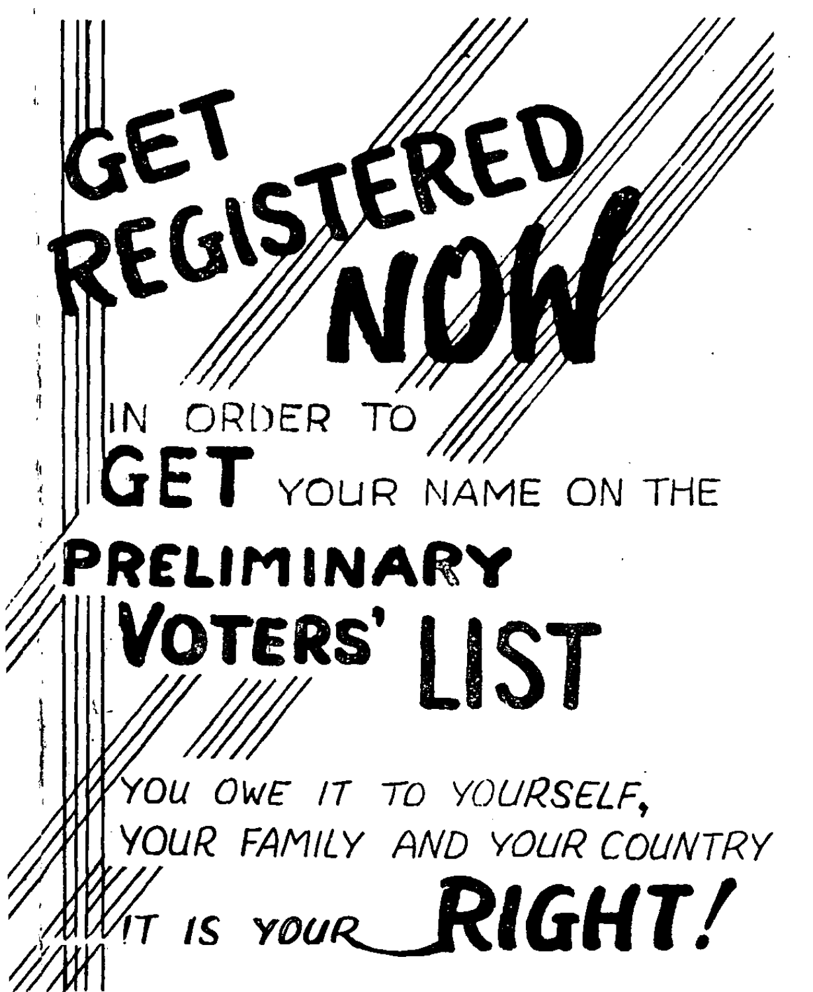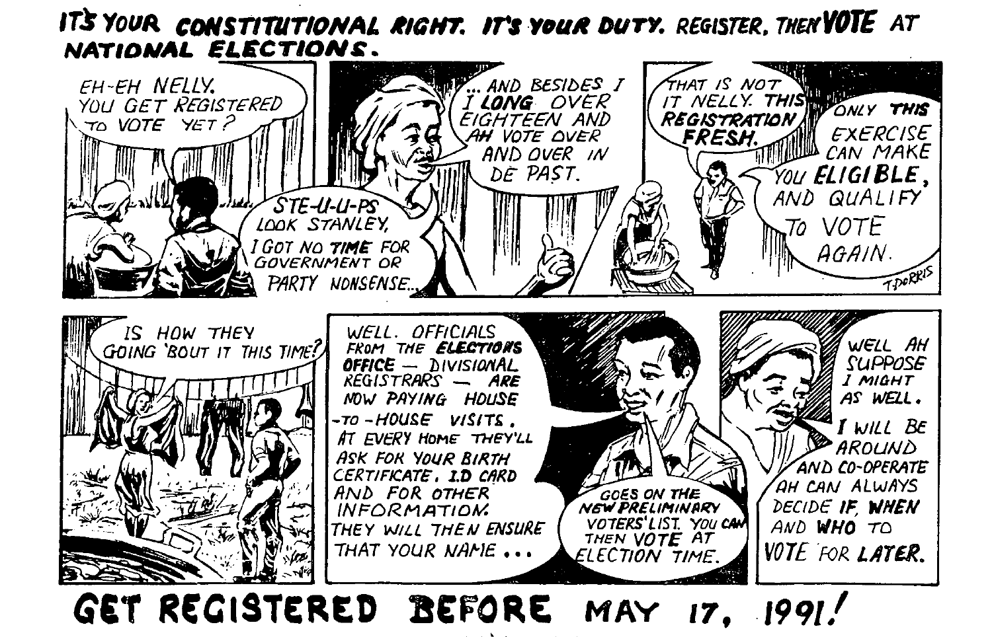## IT'S YOUR CONSTITUTIONAL RIGHT. IT'S YOUR DUTY. REGISTER, THEN YOTE AT NATIONAL ELECTIONS.



GET REGISTERED BEFORE MAY 17. 1991!